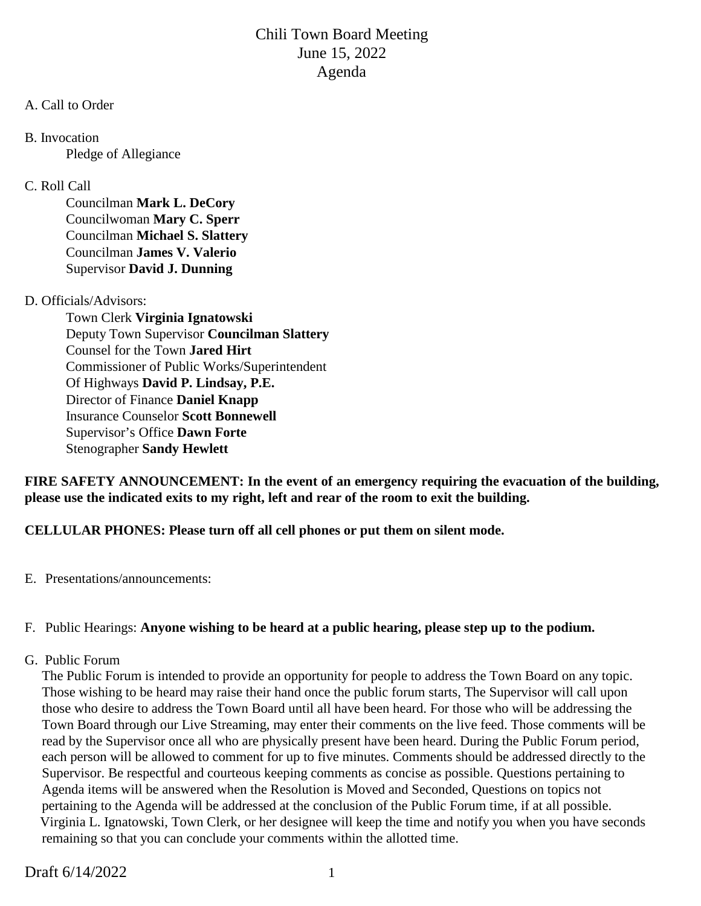#### A. Call to Order

B. Invocation

Pledge of Allegiance

## C. Roll Call

Councilman **Mark L. DeCory** Councilwoman **Mary C. Sperr** Councilman **Michael S. Slattery** Councilman **James V. Valerio** Supervisor **David J. Dunning**

## D. Officials/Advisors:

Town Clerk **Virginia Ignatowski** Deputy Town Supervisor **Councilman Slattery** Counsel for the Town **Jared Hirt** Commissioner of Public Works/Superintendent Of Highways **David P. Lindsay, P.E.** Director of Finance **Daniel Knapp** Insurance Counselor **Scott Bonnewell** Supervisor's Office **Dawn Forte** Stenographer **Sandy Hewlett**

**FIRE SAFETY ANNOUNCEMENT: In the event of an emergency requiring the evacuation of the building, please use the indicated exits to my right, left and rear of the room to exit the building.**

## **CELLULAR PHONES: Please turn off all cell phones or put them on silent mode.**

E. Presentations/announcements:

## F. Public Hearings: **Anyone wishing to be heard at a public hearing, please step up to the podium.**

## G. Public Forum

 The Public Forum is intended to provide an opportunity for people to address the Town Board on any topic. Those wishing to be heard may raise their hand once the public forum starts, The Supervisor will call upon those who desire to address the Town Board until all have been heard. For those who will be addressing the Town Board through our Live Streaming, may enter their comments on the live feed. Those comments will be read by the Supervisor once all who are physically present have been heard. During the Public Forum period, each person will be allowed to comment for up to five minutes. Comments should be addressed directly to the Supervisor. Be respectful and courteous keeping comments as concise as possible. Questions pertaining to Agenda items will be answered when the Resolution is Moved and Seconded, Questions on topics not pertaining to the Agenda will be addressed at the conclusion of the Public Forum time, if at all possible. Virginia L. Ignatowski, Town Clerk, or her designee will keep the time and notify you when you have seconds remaining so that you can conclude your comments within the allotted time.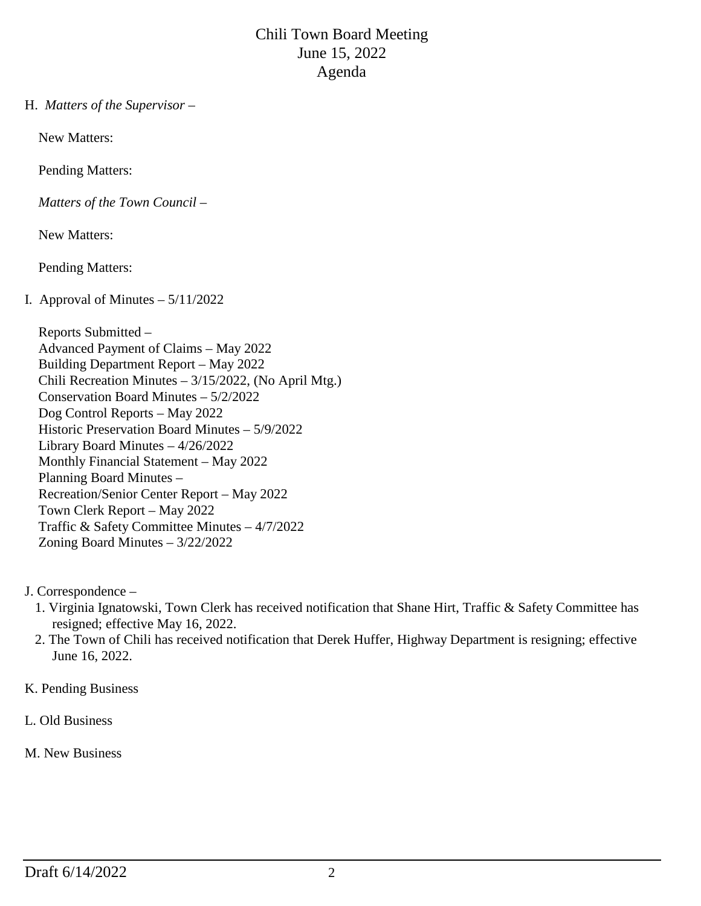H. *Matters of the Supervisor –*

New Matters:

Pending Matters:

*Matters of the Town Council –*

New Matters:

Pending Matters:

## I. Approval of Minutes  $-5/11/2022$

 Reports Submitted – Advanced Payment of Claims – May 2022 Building Department Report – May 2022 Chili Recreation Minutes – 3/15/2022, (No April Mtg.) Conservation Board Minutes – 5/2/2022 Dog Control Reports – May 2022 Historic Preservation Board Minutes – 5/9/2022 Library Board Minutes – 4/26/2022 Monthly Financial Statement – May 2022 Planning Board Minutes – Recreation/Senior Center Report – May 2022 Town Clerk Report – May 2022 Traffic & Safety Committee Minutes – 4/7/2022 Zoning Board Minutes – 3/22/2022

- J. Correspondence
	- 1. Virginia Ignatowski, Town Clerk has received notification that Shane Hirt, Traffic & Safety Committee has resigned; effective May 16, 2022.
	- 2. The Town of Chili has received notification that Derek Huffer, Highway Department is resigning; effective June 16, 2022.
- K. Pending Business
- L. Old Business
- M. New Business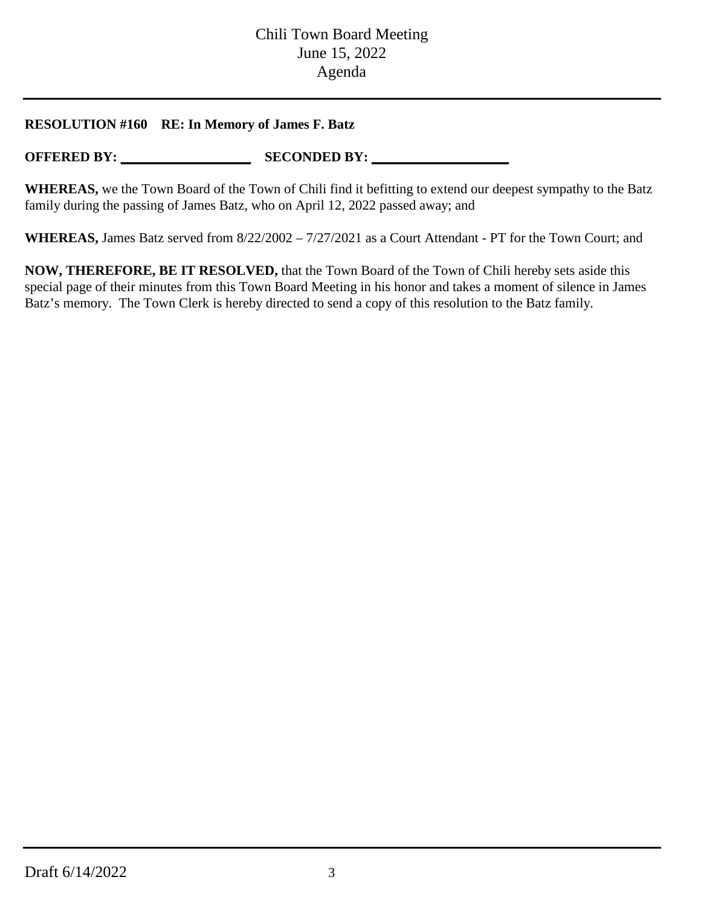### **RESOLUTION #160 RE: In Memory of James F. Batz**

**OFFERED BY: \_\_\_\_\_\_\_\_\_\_\_\_\_\_\_\_\_\_\_ SECONDED BY: \_\_\_\_\_\_\_\_\_\_\_\_\_\_\_\_\_\_\_\_**

**WHEREAS,** we the Town Board of the Town of Chili find it befitting to extend our deepest sympathy to the Batz family during the passing of James Batz, who on April 12, 2022 passed away; and

**WHEREAS,** James Batz served from 8/22/2002 – 7/27/2021 as a Court Attendant - PT for the Town Court; and

**NOW, THEREFORE, BE IT RESOLVED,** that the Town Board of the Town of Chili hereby sets aside this special page of their minutes from this Town Board Meeting in his honor and takes a moment of silence in James Batz's memory. The Town Clerk is hereby directed to send a copy of this resolution to the Batz family.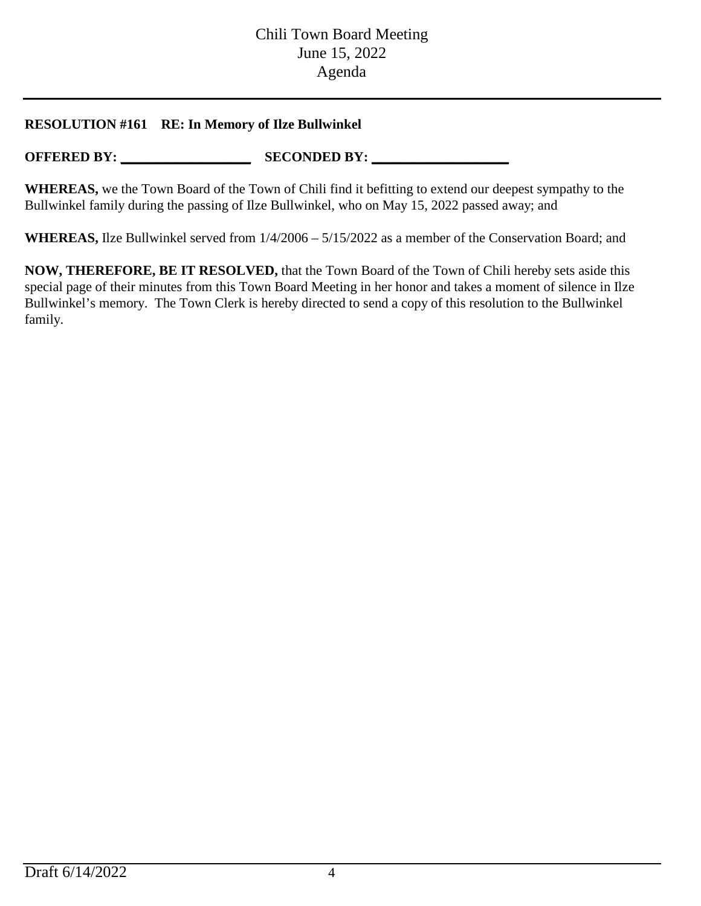## **RESOLUTION #161 RE: In Memory of Ilze Bullwinkel**

**OFFERED BY: \_\_\_\_\_\_\_\_\_\_\_\_\_\_\_\_\_\_\_ SECONDED BY: \_\_\_\_\_\_\_\_\_\_\_\_\_\_\_\_\_\_\_\_**

**WHEREAS,** we the Town Board of the Town of Chili find it befitting to extend our deepest sympathy to the Bullwinkel family during the passing of Ilze Bullwinkel, who on May 15, 2022 passed away; and

**WHEREAS,** Ilze Bullwinkel served from 1/4/2006 – 5/15/2022 as a member of the Conservation Board; and

**NOW, THEREFORE, BE IT RESOLVED,** that the Town Board of the Town of Chili hereby sets aside this special page of their minutes from this Town Board Meeting in her honor and takes a moment of silence in Ilze Bullwinkel's memory. The Town Clerk is hereby directed to send a copy of this resolution to the Bullwinkel family.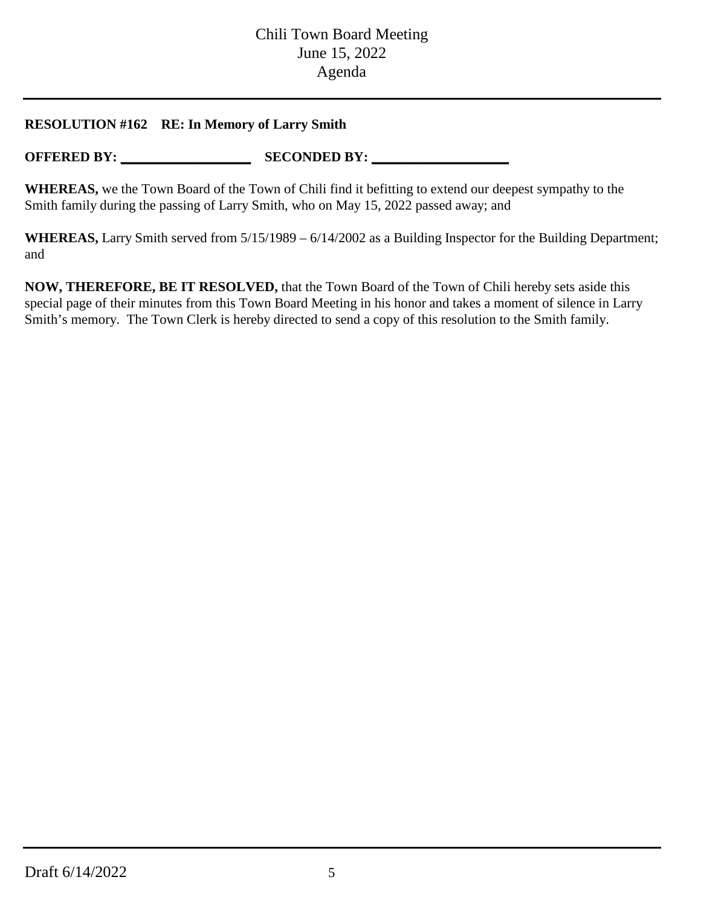## **RESOLUTION #162 RE: In Memory of Larry Smith**

**OFFERED BY: \_\_\_\_\_\_\_\_\_\_\_\_\_\_\_\_\_\_\_ SECONDED BY: \_\_\_\_\_\_\_\_\_\_\_\_\_\_\_\_\_\_\_\_**

**WHEREAS,** we the Town Board of the Town of Chili find it befitting to extend our deepest sympathy to the Smith family during the passing of Larry Smith, who on May 15, 2022 passed away; and

**WHEREAS,** Larry Smith served from 5/15/1989 – 6/14/2002 as a Building Inspector for the Building Department; and

**NOW, THEREFORE, BE IT RESOLVED,** that the Town Board of the Town of Chili hereby sets aside this special page of their minutes from this Town Board Meeting in his honor and takes a moment of silence in Larry Smith's memory. The Town Clerk is hereby directed to send a copy of this resolution to the Smith family.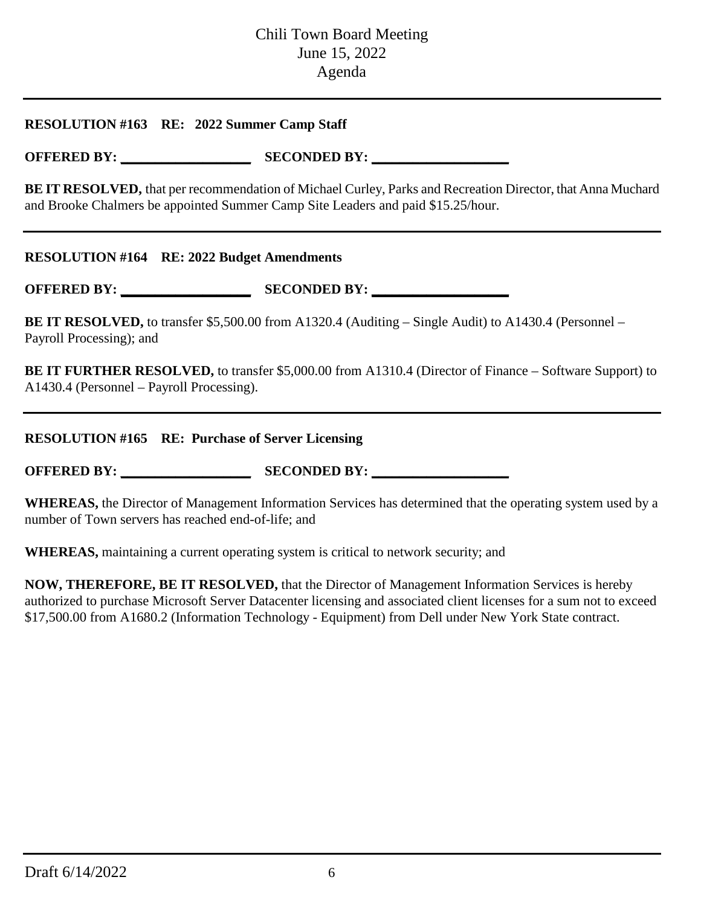### **RESOLUTION #163 RE: 2022 Summer Camp Staff**

**OFFERED BY: \_\_\_\_\_\_\_\_\_\_\_\_\_\_\_\_\_\_\_ SECONDED BY: \_\_\_\_\_\_\_\_\_\_\_\_\_\_\_\_\_\_\_\_**

**BE IT RESOLVED,** that per recommendation of Michael Curley, Parks and Recreation Director, that Anna Muchard and Brooke Chalmers be appointed Summer Camp Site Leaders and paid \$15.25/hour.

#### **RESOLUTION #164 RE: 2022 Budget Amendments**

**OFFERED BY: \_\_\_\_\_\_\_\_\_\_\_\_\_\_\_\_\_\_\_ SECONDED BY: \_\_\_\_\_\_\_\_\_\_\_\_\_\_\_\_\_\_\_\_**

**BE IT RESOLVED,** to transfer \$5,500.00 from A1320.4 (Auditing – Single Audit) to A1430.4 (Personnel – Payroll Processing); and

**BE IT FURTHER RESOLVED,** to transfer \$5,000.00 from A1310.4 (Director of Finance – Software Support) to A1430.4 (Personnel – Payroll Processing).

**RESOLUTION #165 RE: Purchase of Server Licensing**

**OFFERED BY: \_\_\_\_\_\_\_\_\_\_\_\_\_\_\_\_\_\_\_ SECONDED BY: \_\_\_\_\_\_\_\_\_\_\_\_\_\_\_\_\_\_\_\_**

**WHEREAS,** the Director of Management Information Services has determined that the operating system used by a number of Town servers has reached end-of-life; and

**WHEREAS,** maintaining a current operating system is critical to network security; and

**NOW, THEREFORE, BE IT RESOLVED,** that the Director of Management Information Services is hereby authorized to purchase Microsoft Server Datacenter licensing and associated client licenses for a sum not to exceed \$17,500.00 from A1680.2 (Information Technology - Equipment) from Dell under New York State contract.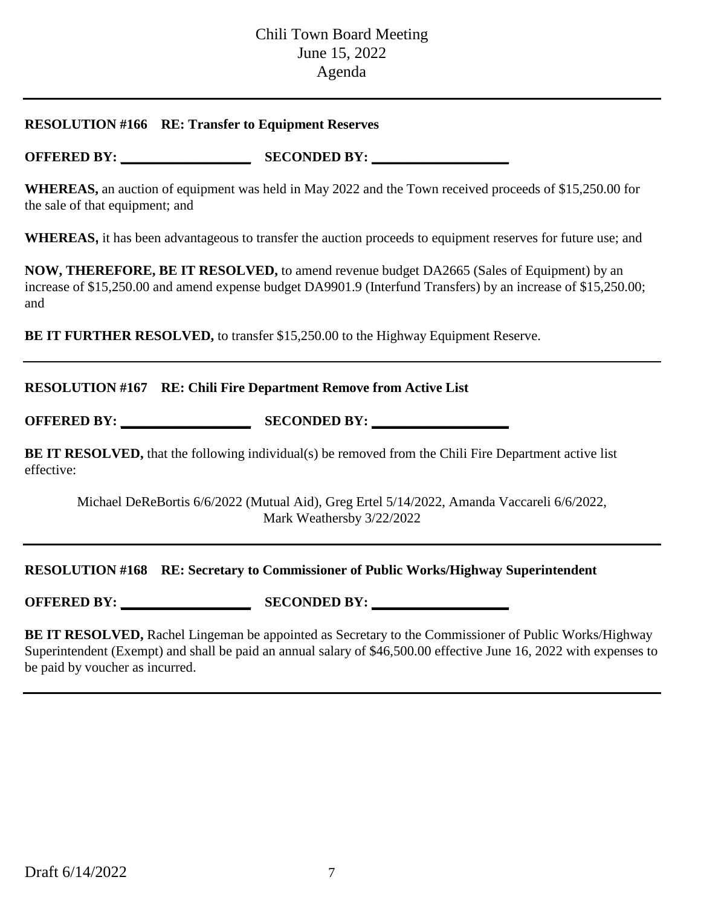#### **RESOLUTION #166 RE: Transfer to Equipment Reserves**

**OFFERED BY: \_\_\_\_\_\_\_\_\_\_\_\_\_\_\_\_\_\_\_ SECONDED BY: \_\_\_\_\_\_\_\_\_\_\_\_\_\_\_\_\_\_\_\_**

**WHEREAS,** an auction of equipment was held in May 2022 and the Town received proceeds of \$15,250.00 for the sale of that equipment; and

**WHEREAS,** it has been advantageous to transfer the auction proceeds to equipment reserves for future use; and

**NOW, THEREFORE, BE IT RESOLVED,** to amend revenue budget DA2665 (Sales of Equipment) by an increase of \$15,250.00 and amend expense budget DA9901.9 (Interfund Transfers) by an increase of \$15,250.00; and

**BE IT FURTHER RESOLVED,** to transfer \$15,250.00 to the Highway Equipment Reserve.

#### **RESOLUTION #167 RE: Chili Fire Department Remove from Active List**

**OFFERED BY: \_\_\_\_\_\_\_\_\_\_\_\_\_\_\_\_\_\_\_ SECONDED BY: \_\_\_\_\_\_\_\_\_\_\_\_\_\_\_\_\_\_\_\_**

**BE IT RESOLVED,** that the following individual(s) be removed from the Chili Fire Department active list effective:

Michael DeReBortis 6/6/2022 (Mutual Aid), Greg Ertel 5/14/2022, Amanda Vaccareli 6/6/2022, Mark Weathersby 3/22/2022

#### **RESOLUTION #168 RE: Secretary to Commissioner of Public Works/Highway Superintendent**

**OFFERED BY: \_\_\_\_\_\_\_\_\_\_\_\_\_\_\_\_\_\_\_ SECONDED BY: \_\_\_\_\_\_\_\_\_\_\_\_\_\_\_\_\_\_\_\_**

**BE IT RESOLVED, Rachel Lingeman be appointed as Secretary to the Commissioner of Public Works/Highway** Superintendent (Exempt) and shall be paid an annual salary of \$46,500.00 effective June 16, 2022 with expenses to be paid by voucher as incurred.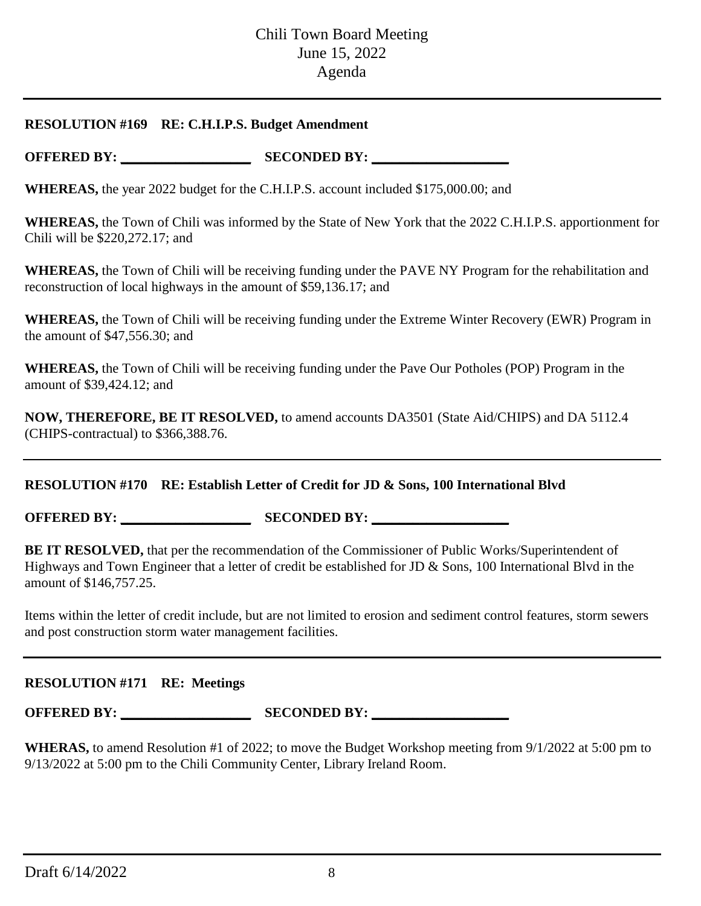#### **RESOLUTION #169 RE: C.H.I.P.S. Budget Amendment**

**OFFERED BY: \_\_\_\_\_\_\_\_\_\_\_\_\_\_\_\_\_\_\_ SECONDED BY: \_\_\_\_\_\_\_\_\_\_\_\_\_\_\_\_\_\_\_\_**

**WHEREAS,** the year 2022 budget for the C.H.I.P.S. account included \$175,000.00; and

**WHEREAS,** the Town of Chili was informed by the State of New York that the 2022 C.H.I.P.S. apportionment for Chili will be \$220,272.17; and

**WHEREAS,** the Town of Chili will be receiving funding under the PAVE NY Program for the rehabilitation and reconstruction of local highways in the amount of \$59,136.17; and

**WHEREAS,** the Town of Chili will be receiving funding under the Extreme Winter Recovery (EWR) Program in the amount of \$47,556.30; and

**WHEREAS,** the Town of Chili will be receiving funding under the Pave Our Potholes (POP) Program in the amount of \$39,424.12; and

**NOW, THEREFORE, BE IT RESOLVED,** to amend accounts DA3501 (State Aid/CHIPS) and DA 5112.4 (CHIPS-contractual) to \$366,388.76.

## **RESOLUTION #170 RE: Establish Letter of Credit for JD & Sons, 100 International Blvd**

**OFFERED BY: \_\_\_\_\_\_\_\_\_\_\_\_\_\_\_\_\_\_\_ SECONDED BY: \_\_\_\_\_\_\_\_\_\_\_\_\_\_\_\_\_\_\_\_**

**BE IT RESOLVED,** that per the recommendation of the Commissioner of Public Works/Superintendent of Highways and Town Engineer that a letter of credit be established for JD & Sons, 100 International Blvd in the amount of \$146,757.25.

Items within the letter of credit include, but are not limited to erosion and sediment control features, storm sewers and post construction storm water management facilities.

## **RESOLUTION #171 RE: Meetings**

**OFFERED BY: \_\_\_\_\_\_\_\_\_\_\_\_\_\_\_\_\_\_\_ SECONDED BY: \_\_\_\_\_\_\_\_\_\_\_\_\_\_\_\_\_\_\_\_**

**WHERAS,** to amend Resolution #1 of 2022; to move the Budget Workshop meeting from 9/1/2022 at 5:00 pm to 9/13/2022 at 5:00 pm to the Chili Community Center, Library Ireland Room.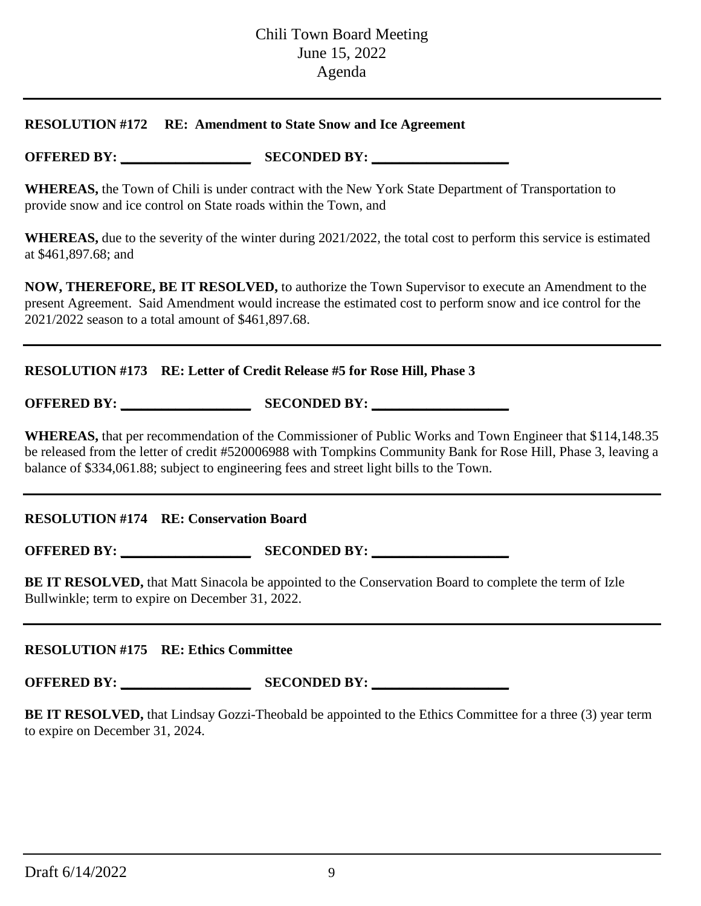#### **RESOLUTION #172 RE: Amendment to State Snow and Ice Agreement**

**OFFERED BY: \_\_\_\_\_\_\_\_\_\_\_\_\_\_\_\_\_\_\_ SECONDED BY: \_\_\_\_\_\_\_\_\_\_\_\_\_\_\_\_\_\_\_\_**

**WHEREAS,** the Town of Chili is under contract with the New York State Department of Transportation to provide snow and ice control on State roads within the Town, and

**WHEREAS,** due to the severity of the winter during 2021/2022, the total cost to perform this service is estimated at \$461,897.68; and

**NOW, THEREFORE, BE IT RESOLVED,** to authorize the Town Supervisor to execute an Amendment to the present Agreement. Said Amendment would increase the estimated cost to perform snow and ice control for the 2021/2022 season to a total amount of \$461,897.68.

## **RESOLUTION #173 RE: Letter of Credit Release #5 for Rose Hill, Phase 3**

**OFFERED BY: \_\_\_\_\_\_\_\_\_\_\_\_\_\_\_\_\_\_\_ SECONDED BY: \_\_\_\_\_\_\_\_\_\_\_\_\_\_\_\_\_\_\_\_**

**WHEREAS,** that per recommendation of the Commissioner of Public Works and Town Engineer that \$114,148.35 be released from the letter of credit #520006988 with Tompkins Community Bank for Rose Hill, Phase 3, leaving a balance of \$334,061.88; subject to engineering fees and street light bills to the Town.

**RESOLUTION #174 RE: Conservation Board**

**OFFERED BY: \_\_\_\_\_\_\_\_\_\_\_\_\_\_\_\_\_\_\_ SECONDED BY: \_\_\_\_\_\_\_\_\_\_\_\_\_\_\_\_\_\_\_\_**

**BE IT RESOLVED,** that Matt Sinacola be appointed to the Conservation Board to complete the term of Izle Bullwinkle; term to expire on December 31, 2022.

## **RESOLUTION #175 RE: Ethics Committee**

**OFFERED BY: \_\_\_\_\_\_\_\_\_\_\_\_\_\_\_\_\_\_\_ SECONDED BY: \_\_\_\_\_\_\_\_\_\_\_\_\_\_\_\_\_\_\_\_**

**BE IT RESOLVED,** that Lindsay Gozzi-Theobald be appointed to the Ethics Committee for a three (3) year term to expire on December 31, 2024.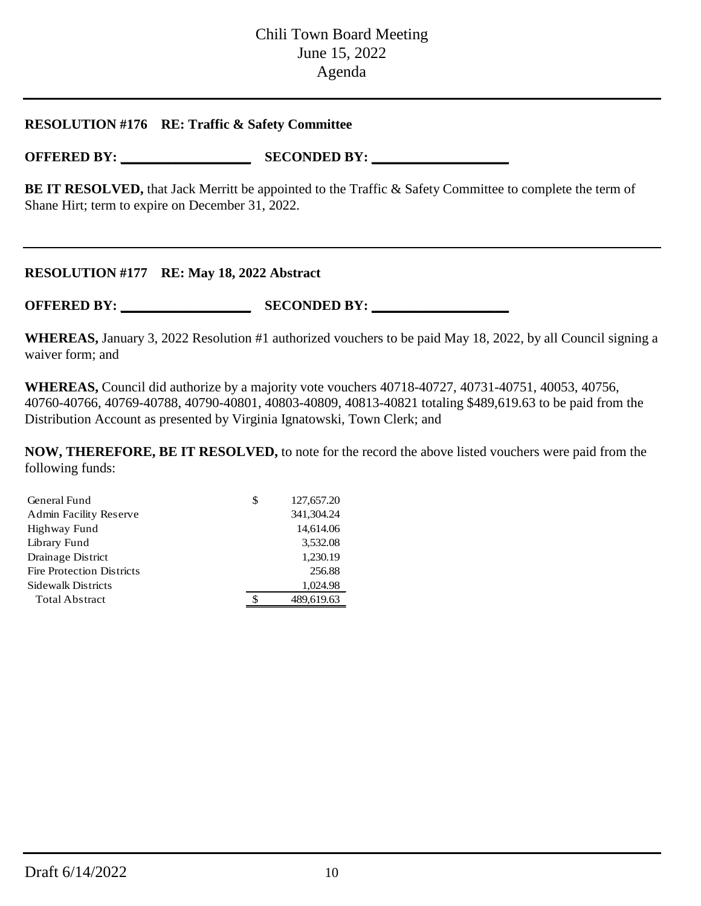#### **RESOLUTION #176 RE: Traffic & Safety Committee**

**OFFERED BY: \_\_\_\_\_\_\_\_\_\_\_\_\_\_\_\_\_\_\_ SECONDED BY: \_\_\_\_\_\_\_\_\_\_\_\_\_\_\_\_\_\_\_\_**

**BE IT RESOLVED,** that Jack Merritt be appointed to the Traffic & Safety Committee to complete the term of Shane Hirt; term to expire on December 31, 2022.

#### **RESOLUTION #177 RE: May 18, 2022 Abstract**

**OFFERED BY: \_\_\_\_\_\_\_\_\_\_\_\_\_\_\_\_\_\_\_ SECONDED BY: \_\_\_\_\_\_\_\_\_\_\_\_\_\_\_\_\_\_\_\_**

**WHEREAS,** January 3, 2022 Resolution #1 authorized vouchers to be paid May 18, 2022, by all Council signing a waiver form; and

**WHEREAS,** Council did authorize by a majority vote vouchers 40718-40727, 40731-40751, 40053, 40756, 40760-40766, 40769-40788, 40790-40801, 40803-40809, 40813-40821 totaling \$489,619.63 to be paid from the Distribution Account as presented by Virginia Ignatowski, Town Clerk; and

**NOW, THEREFORE, BE IT RESOLVED,** to note for the record the above listed vouchers were paid from the following funds:

| General Fund                     | \$<br>127,657.20 |
|----------------------------------|------------------|
| <b>Admin Facility Reserve</b>    | 341, 304. 24     |
| Highway Fund                     | 14,614.06        |
| Library Fund                     | 3,532.08         |
| Drainage District                | 1,230.19         |
| <b>Fire Protection Districts</b> | 256.88           |
| Sidewalk Districts               | 1,024.98         |
| <b>Total Abstract</b>            | 489,619.63       |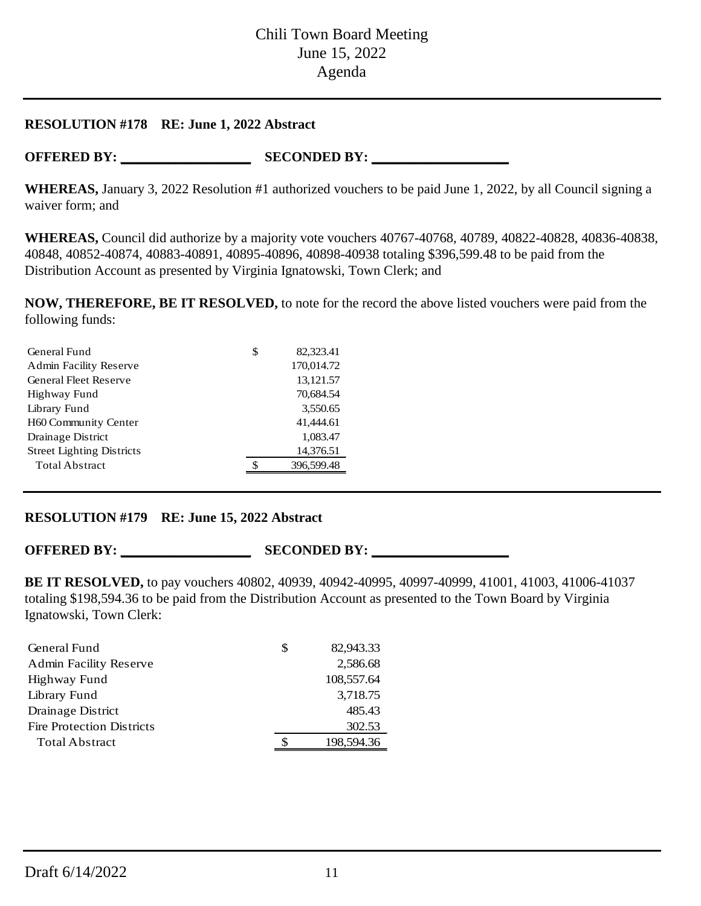#### **RESOLUTION #178 RE: June 1, 2022 Abstract**

**OFFERED BY: \_\_\_\_\_\_\_\_\_\_\_\_\_\_\_\_\_\_\_ SECONDED BY: \_\_\_\_\_\_\_\_\_\_\_\_\_\_\_\_\_\_\_\_**

**WHEREAS,** January 3, 2022 Resolution #1 authorized vouchers to be paid June 1, 2022, by all Council signing a waiver form; and

**WHEREAS,** Council did authorize by a majority vote vouchers 40767-40768, 40789, 40822-40828, 40836-40838, 40848, 40852-40874, 40883-40891, 40895-40896, 40898-40938 totaling \$396,599.48 to be paid from the Distribution Account as presented by Virginia Ignatowski, Town Clerk; and

**NOW, THEREFORE, BE IT RESOLVED,** to note for the record the above listed vouchers were paid from the following funds:

| General Fund                     | \$<br>82,323.41 |
|----------------------------------|-----------------|
| <b>Admin Facility Reserve</b>    | 170,014.72      |
| <b>General Fleet Reserve</b>     | 13,121.57       |
| Highway Fund                     | 70,684.54       |
| Library Fund                     | 3,550.65        |
| H60 Community Center             | 41,444.61       |
| Drainage District                | 1,083.47        |
| <b>Street Lighting Districts</b> | 14,376.51       |
| <b>Total Abstract</b>            | 396,599.48      |
|                                  |                 |

## **RESOLUTION #179 RE: June 15, 2022 Abstract**

**OFFERED BY: \_\_\_\_\_\_\_\_\_\_\_\_\_\_\_\_\_\_\_ SECONDED BY: \_\_\_\_\_\_\_\_\_\_\_\_\_\_\_\_\_\_\_\_**

**BE IT RESOLVED,** to pay vouchers 40802, 40939, 40942-40995, 40997-40999, 41001, 41003, 41006-41037 totaling \$198,594.36 to be paid from the Distribution Account as presented to the Town Board by Virginia Ignatowski, Town Clerk:

| General Fund                     | S | 82,943.33  |
|----------------------------------|---|------------|
| Admin Facility Reserve           |   | 2,586.68   |
| Highway Fund                     |   | 108,557.64 |
| Library Fund                     |   | 3,718.75   |
| Drainage District                |   | 485.43     |
| <b>Fire Protection Districts</b> |   | 302.53     |
| <b>Total Abstract</b>            |   | 198,594.36 |
|                                  |   |            |